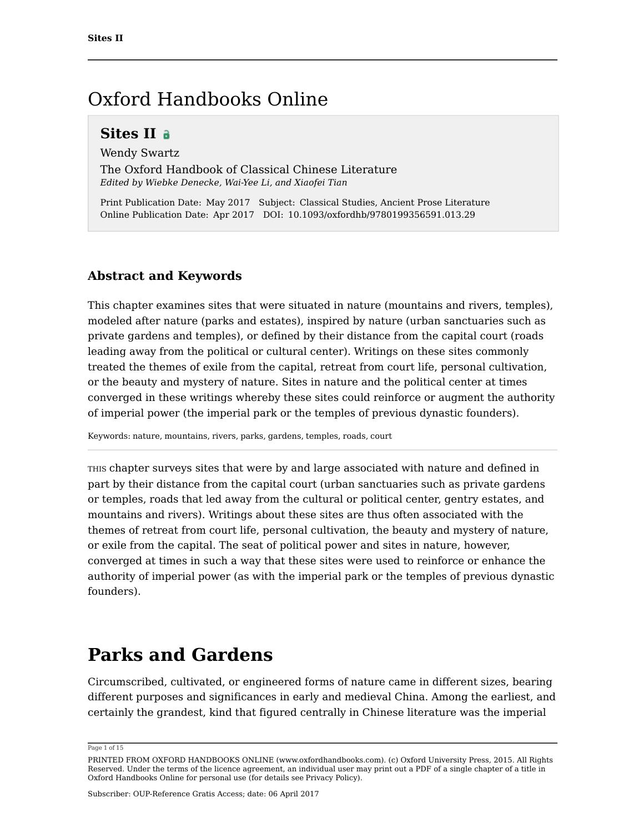# Oxford Handbooks Online

#### Sites II a

Wendy Swartz

The Oxford Handbook of Classical Chinese Literature Edited by Wiebke Denecke, Wai-Yee Li, and Xiaofei Tian

Print Publication Date: May 2017 Subject: Classical Studies, Ancient Prose Literature Online Publication Date: Apr 2017 DOI: 10.1093/oxfordhb/9780199356591.013.29

#### Abstract and Keywords

This chapter examines sites that were situated in nature (mountains and rivers, temples), modeled after nature (parks and estates), inspired by nature (urban sanctuaries such as private gardens and temples), or defined by their distance from the capital court (roads leading away from the political or cultural center). Writings on these sites commonly treated the themes of exile from the capital, retreat from court life, personal cultivation, or the beauty and mystery of nature. Sites in nature and the political center at times converged in these writings whereby these sites could reinforce or augment the authority of imperial power (the imperial park or the temples of previous dynastic founders).

Keywords: nature, mountains, rivers, parks, gardens, temples, roads, court

THIS chapter surveys sites that were by and large associated with nature and defined in part by their distance from the capital court (urban sanctuaries such as private gardens or temples, roads that led away from the cultural or political center, gentry estates, and mountains and rivers). Writings about these sites are thus often associated with the themes of retreat from court life, personal cultivation, the beauty and mystery of nature, or exile from the capital. The seat of political power and sites in nature, however, converged at times in such a way that these sites were used to reinforce or enhance the authority of imperial power (as with the imperial park or the temples of previous dynastic founders).

# Parks and Gardens

Circumscribed, cultivated, or engineered forms of nature came in different sizes, bearing different purposes and significances in early and medieval China. Among the earliest, and certainly the grandest, kind that figured centrally in Chinese literature was the imperial

Page 1 of 15

PRINTED FROM OXFORD HANDBOOKS ONLINE (www.oxfordhandbooks.com). (c) Oxford University Press, 2015. All Rights Reserved. Under the terms of the licence agreement, an individual user may print out a PDF of a single chapter of a title in Oxford Handbooks Online for personal use (for details see Privacy Policy).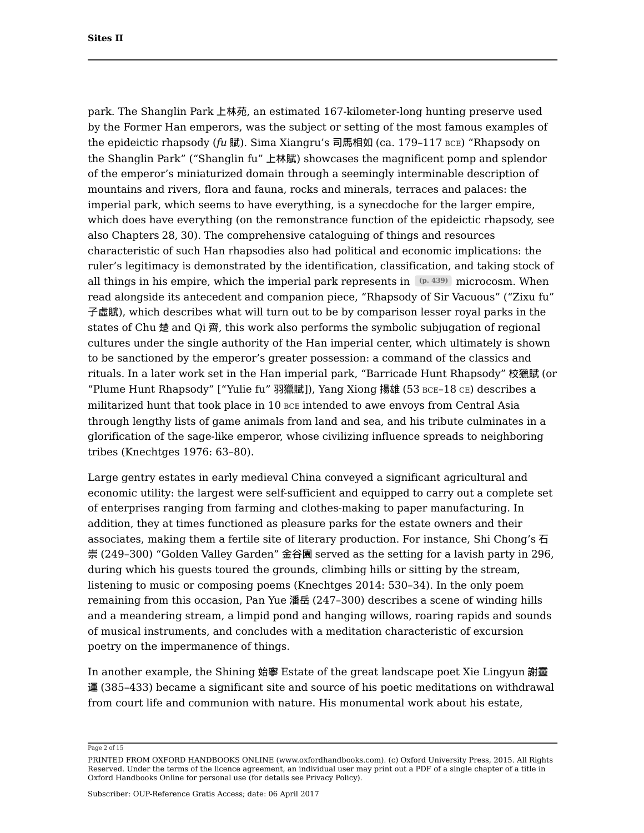park. The Shanglin Park 上林苑, an estimated 167-kilometer-long hunting preserve used by the Former Han emperors, was the subject or setting of the most famous examples of the epideictic rhapsody ( $fu \cancel{m}$ ). Sima Xiangru's 司馬相如 (ca. 179–117 BCE) "Rhapsody on the Shanglin Park" ("Shanglin fu" 上林賦) showcases the magnificent pomp and splendor of the emperor's miniaturized domain through a seemingly interminable description of mountains and rivers, flora and fauna, rocks and minerals, terraces and palaces: the imperial park, which seems to have everything, is a synecdoche for the larger empire, which does have everything (on the remonstrance function of the epideictic rhapsody, see also Chapters 28, 30). The comprehensive cataloguing of things and resources characteristic of such Han rhapsodies also had political and economic implications: the ruler's legitimacy is demonstrated by the identification, classification, and taking stock of all things in his empire, which the imperial park represents in  $(p. 439)$  microcosm. When read alongside its antecedent and companion piece, "Rhapsody of Sir Vacuous" ("Zixu fu" 子虛賦), which describes what will turn out to be by comparison lesser royal parks in the states of Chu 楚 and Qi 齊, this work also performs the symbolic subjugation of regional cultures under the single authority of the Han imperial center, which ultimately is shown to be sanctioned by the emperor's greater possession: a command of the classics and rituals. In a later work set in the Han imperial park, "Barricade Hunt Rhapsody" 校獵賦 (or "Plume Hunt Rhapsody" ["Yulie fu" 羽獵賦]), Yang Xiong 揚雄 (53 BCE–18 CE) describes a militarized hunt that took place in 10 BCE intended to awe envoys from Central Asia through lengthy lists of game animals from land and sea, and his tribute culminates in a glorification of the sage-like emperor, whose civilizing influence spreads to neighboring tribes (Knechtges 1976: 63–80).

Large gentry estates in early medieval China conveyed a significant agricultural and economic utility: the largest were self-sufficient and equipped to carry out a complete set of enterprises ranging from farming and clothes-making to paper manufacturing. In addition, they at times functioned as pleasure parks for the estate owners and their associates, making them a fertile site of literary production. For instance, Shi Chong's 石 崇 (249–300) "Golden Valley Garden" 金谷園 served as the setting for a lavish party in 296, during which his guests toured the grounds, climbing hills or sitting by the stream, listening to music or composing poems (Knechtges 2014: 530–34). In the only poem remaining from this occasion, Pan Yue 潘岳 (247–300) describes a scene of winding hills and a meandering stream, a limpid pond and hanging willows, roaring rapids and sounds of musical instruments, and concludes with a meditation characteristic of excursion poetry on the impermanence of things.

In another example, the Shining 始寧 Estate of the great landscape poet Xie Lingyun 謝靈 運 (385–433) became a significant site and source of his poetic meditations on withdrawal from court life and communion with nature. His monumental work about his estate,

Page 2 of 15

PRINTED FROM OXFORD HANDBOOKS ONLINE (www.oxfordhandbooks.com). (c) Oxford University Press, 2015. All Rights Reserved. Under the terms of the licence agreement, an individual user may print out a PDF of a single chapter of a title in Oxford Handbooks Online for personal use (for details see Privacy Policy).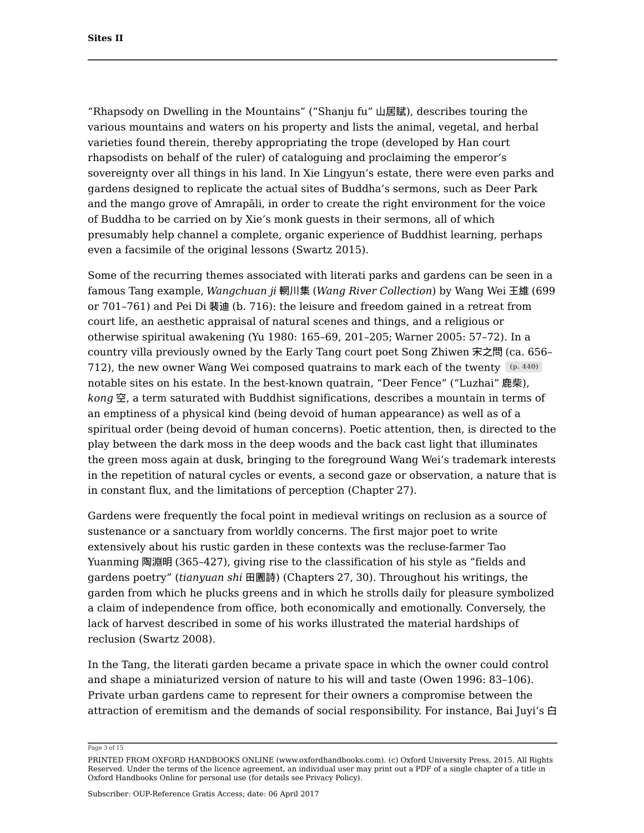Sites II

"Rhapsody on Dwelling in the Mountains" ("Shanju fu" 山居賦), describes touring the various mountains and waters on his property and lists the animal, vegetal, and herbal varieties found therein, thereby appropriating the trope (developed by Han court rhapsodists on behalf of the ruler) of cataloguing and proclaiming the emperor's sovereignty over all things in his land. In Xie Lingyun's estate, there were even parks and gardens designed to replicate the actual sites of Buddha's sermons, such as Deer Park and the mango grove of Amrapāli, in order to create the right environment for the voice of Buddha to be carried on by Xie's monk guests in their sermons, all of which presumably help channel a complete, organic experience of Buddhist learning, perhaps even a facsimile of the original lessons (Swartz 2015).

Some of the recurring themes associated with literati parks and gardens can be seen in a famous Tang example, Wangchuan ji 輞川集 (Wang River Collection) by Wang Wei 王維 (699 or 701–761) and Pei Di 裴迪 (b. 716): the leisure and freedom gained in a retreat from court life, an aesthetic appraisal of natural scenes and things, and a religious or otherwise spiritual awakening (Yu 1980: 165–69, 201–205; Warner 2005: 57–72). In a country villa previously owned by the Early Tang court poet Song Zhiwen 宋之問 (ca. 656– 712), the new owner Wang Wei composed quatrains to mark each of the twenty (p. 440) notable sites on his estate. In the best-known quatrain, "Deer Fence" ("Luzhai" 鹿柴), kong  $\tilde{\Sigma}$ , a term saturated with Buddhist significations, describes a mountain in terms of an emptiness of a physical kind (being devoid of human appearance) as well as of a spiritual order (being devoid of human concerns). Poetic attention, then, is directed to the play between the dark moss in the deep woods and the back cast light that illuminates the green moss again at dusk, bringing to the foreground Wang Wei's trademark interests in the repetition of natural cycles or events, a second gaze or observation, a nature that is in constant flux, and the limitations of perception (Chapter 27).

Gardens were frequently the focal point in medieval writings on reclusion as a source of sustenance or a sanctuary from worldly concerns. The first major poet to write extensively about his rustic garden in these contexts was the recluse-farmer Tao Yuanming 陶淵明 (365–427), giving rise to the classification of his style as "fields and gardens poetry" (tianyuan shi 田園詩) (Chapters 27, 30). Throughout his writings, the garden from which he plucks greens and in which he strolls daily for pleasure symbolized a claim of independence from office, both economically and emotionally. Conversely, the lack of harvest described in some of his works illustrated the material hardships of reclusion (Swartz 2008).

In the Tang, the literati garden became a private space in which the owner could control and shape a miniaturized version of nature to his will and taste (Owen 1996: 83–106). Private urban gardens came to represent for their owners a compromise between the attraction of eremitism and the demands of social responsibility. For instance, Bai Juyi's 白

Page 3 of 15

PRINTED FROM OXFORD HANDBOOKS ONLINE (www.oxfordhandbooks.com). (c) Oxford University Press, 2015. All Rights Reserved. Under the terms of the licence agreement, an individual user may print out a PDF of a single chapter of a title in Oxford Handbooks Online for personal use (for details see Privacy Policy).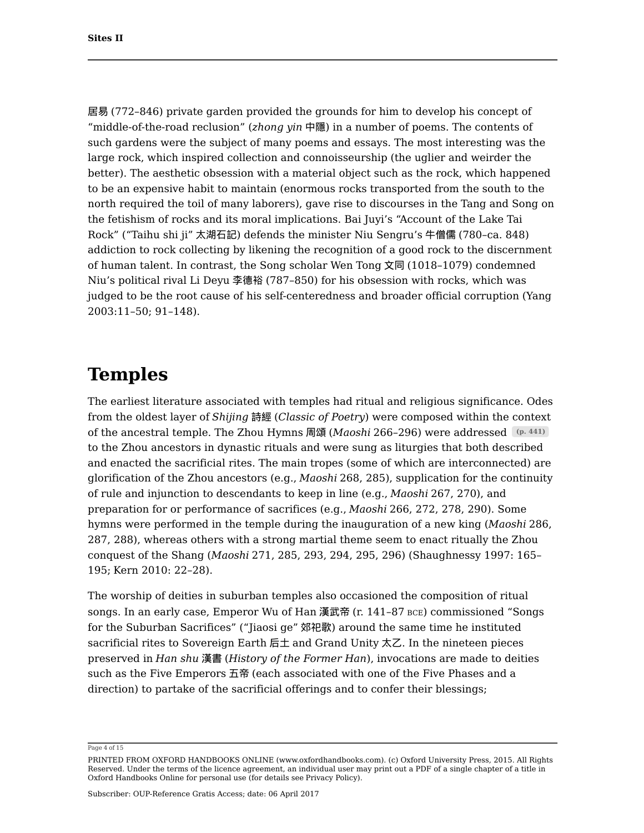居易 (772–846) private garden provided the grounds for him to develop his concept of "middle-of-the-road reclusion" (zhong yin 中隱) in a number of poems. The contents of such gardens were the subject of many poems and essays. The most interesting was the large rock, which inspired collection and connoisseurship (the uglier and weirder the better). The aesthetic obsession with a material object such as the rock, which happened to be an expensive habit to maintain (enormous rocks transported from the south to the north required the toil of many laborers), gave rise to discourses in the Tang and Song on the fetishism of rocks and its moral implications. Bai Juyi's "Account of the Lake Tai Rock" ("Taihu shi ji" 太湖石記) defends the minister Niu Sengru's 牛僧儒 (780–ca. 848) addiction to rock collecting by likening the recognition of a good rock to the discernment of human talent. In contrast, the Song scholar Wen Tong 文同 (1018–1079) condemned Niu's political rival Li Deyu 李德裕 (787–850) for his obsession with rocks, which was judged to be the root cause of his self-centeredness and broader official corruption (Yang 2003:11–50; 91–148).

## Temples

The earliest literature associated with temples had ritual and religious significance. Odes from the oldest layer of Shijing 詩經 (Classic of Poetry) were composed within the context of the ancestral temple. The Zhou Hymns 周頌 (Maoshi 266-296) were addressed (p. 441) to the Zhou ancestors in dynastic rituals and were sung as liturgies that both described and enacted the sacrificial rites. The main tropes (some of which are interconnected) are glorification of the Zhou ancestors (e.g., Maoshi 268, 285), supplication for the continuity of rule and injunction to descendants to keep in line (e.g., Maoshi 267, 270), and preparation for or performance of sacrifices (e.g., Maoshi 266, 272, 278, 290). Some hymns were performed in the temple during the inauguration of a new king (*Maoshi* 286, 287, 288), whereas others with a strong martial theme seem to enact ritually the Zhou conquest of the Shang (Maoshi 271, 285, 293, 294, 295, 296) (Shaughnessy 1997: 165– 195; Kern 2010: 22–28).

The worship of deities in suburban temples also occasioned the composition of ritual songs. In an early case, Emperor Wu of Han 漢武帝 (r. 141–87 BCE) commissioned "Songs for the Suburban Sacrifices" ("Jiaosi ge" 郊祀歌) around the same time he instituted sacrificial rites to Sovereign Earth  $f$  and Grand Unity  $\overline{\mathsf{XZ}}$ . In the nineteen pieces preserved in Han shu 漢書 (History of the Former Han), invocations are made to deities such as the Five Emperors 五帝 (each associated with one of the Five Phases and a direction) to partake of the sacrificial offerings and to confer their blessings;

Page 4 of 15

PRINTED FROM OXFORD HANDBOOKS ONLINE (www.oxfordhandbooks.com). (c) Oxford University Press, 2015. All Rights Reserved. Under the terms of the licence agreement, an individual user may print out a PDF of a single chapter of a title in Oxford Handbooks Online for personal use (for details see Privacy Policy).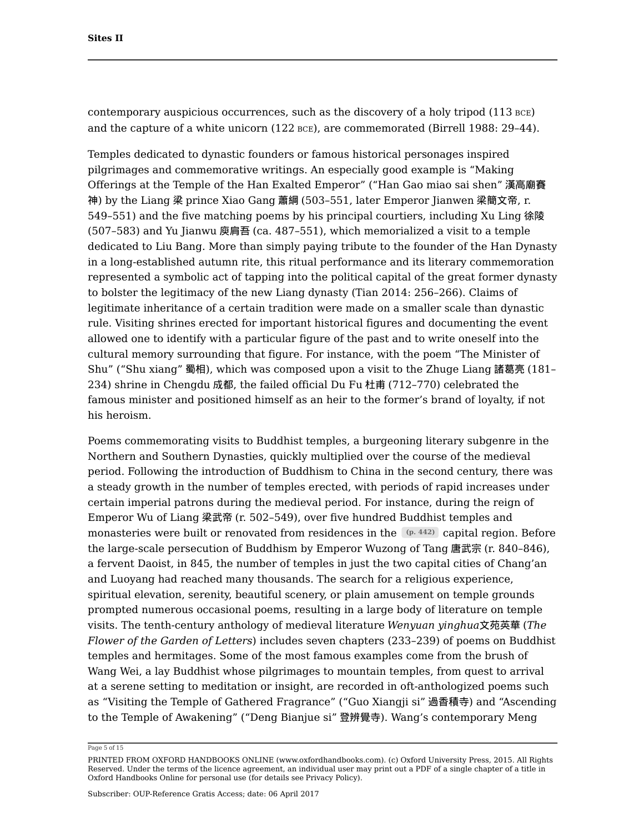contemporary auspicious occurrences, such as the discovery of a holy tripod  $(113 \text{ } *sec*)$ and the capture of a white unicorn  $(122 \text{ BCE})$ , are commemorated (Birrell 1988: 29-44).

Temples dedicated to dynastic founders or famous historical personages inspired pilgrimages and commemorative writings. An especially good example is "Making Offerings at the Temple of the Han Exalted Emperor" ("Han Gao miao sai shen" 漢高廟賽 神) by the Liang 梁 prince Xiao Gang 蕭綱 (503–551, later Emperor Jianwen 梁簡文帝, r. 549–551) and the five matching poems by his principal courtiers, including Xu Ling 徐陵 (507–583) and Yu Jianwu 庾肩吾 (ca. 487–551), which memorialized a visit to a temple dedicated to Liu Bang. More than simply paying tribute to the founder of the Han Dynasty in a long-established autumn rite, this ritual performance and its literary commemoration represented a symbolic act of tapping into the political capital of the great former dynasty to bolster the legitimacy of the new Liang dynasty (Tian 2014: 256–266). Claims of legitimate inheritance of a certain tradition were made on a smaller scale than dynastic rule. Visiting shrines erected for important historical figures and documenting the event allowed one to identify with a particular figure of the past and to write oneself into the cultural memory surrounding that figure. For instance, with the poem "The Minister of Shu" ("Shu xiang" 蜀相), which was composed upon a visit to the Zhuge Liang 諸葛亮 (181– 234) shrine in Chengdu 成都, the failed official Du Fu 杜甫 (712–770) celebrated the famous minister and positioned himself as an heir to the former's brand of loyalty, if not his heroism.

Poems commemorating visits to Buddhist temples, a burgeoning literary subgenre in the Northern and Southern Dynasties, quickly multiplied over the course of the medieval period. Following the introduction of Buddhism to China in the second century, there was a steady growth in the number of temples erected, with periods of rapid increases under certain imperial patrons during the medieval period. For instance, during the reign of Emperor Wu of Liang 梁武帝 (r. 502–549), over five hundred Buddhist temples and monasteries were built or renovated from residences in the  $(p. 442)$  capital region. Before the large-scale persecution of Buddhism by Emperor Wuzong of Tang 唐武宗 (r. 840–846), a fervent Daoist, in 845, the number of temples in just the two capital cities of Chang'an and Luoyang had reached many thousands. The search for a religious experience, spiritual elevation, serenity, beautiful scenery, or plain amusement on temple grounds prompted numerous occasional poems, resulting in a large body of literature on temple visits. The tenth-century anthology of medieval literature Wenyuan yinghua文苑英華 (The Flower of the Garden of Letters) includes seven chapters (233–239) of poems on Buddhist temples and hermitages. Some of the most famous examples come from the brush of Wang Wei, a lay Buddhist whose pilgrimages to mountain temples, from quest to arrival at a serene setting to meditation or insight, are recorded in oft-anthologized poems such as "Visiting the Temple of Gathered Fragrance" ("Guo Xiangji si" 過香積寺) and "Ascending to the Temple of Awakening" ("Deng Bianjue si" 登辨覺寺). Wang's contemporary Meng

Page 5 of 15

PRINTED FROM OXFORD HANDBOOKS ONLINE (www.oxfordhandbooks.com). (c) Oxford University Press, 2015. All Rights Reserved. Under the terms of the licence agreement, an individual user may print out a PDF of a single chapter of a title in Oxford Handbooks Online for personal use (for details see Privacy Policy).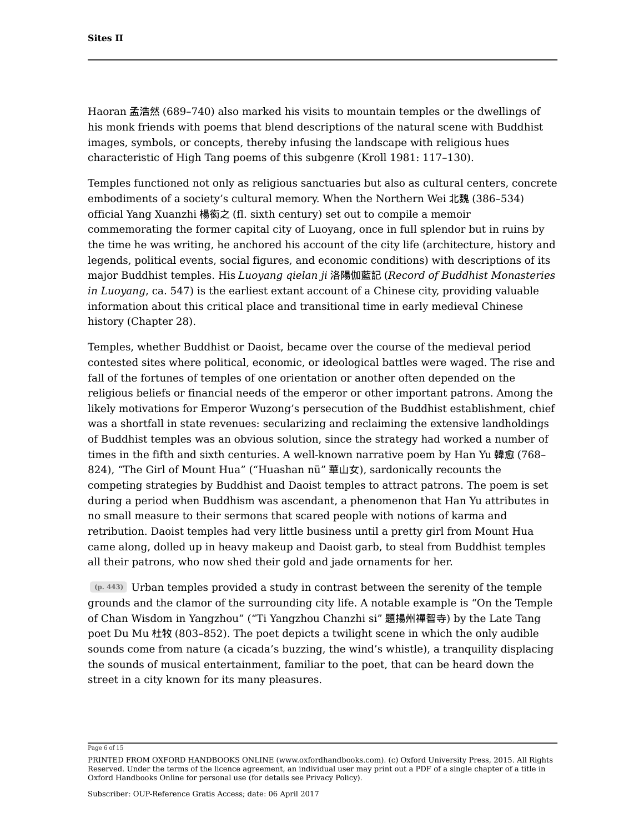Haoran 孟浩然 (689–740) also marked his visits to mountain temples or the dwellings of his monk friends with poems that blend descriptions of the natural scene with Buddhist images, symbols, or concepts, thereby infusing the landscape with religious hues characteristic of High Tang poems of this subgenre (Kroll 1981: 117–130).

Temples functioned not only as religious sanctuaries but also as cultural centers, concrete embodiments of a society's cultural memory. When the Northern Wei 北魏 (386–534) official Yang Xuanzhi 楊衒之 (fl. sixth century) set out to compile a memoir commemorating the former capital city of Luoyang, once in full splendor but in ruins by the time he was writing, he anchored his account of the city life (architecture, history and legends, political events, social figures, and economic conditions) with descriptions of its major Buddhist temples. His Luoyang qielan ji 洛陽伽藍記 (Record of Buddhist Monasteries in Luoyang, ca. 547) is the earliest extant account of a Chinese city, providing valuable information about this critical place and transitional time in early medieval Chinese history (Chapter 28).

Temples, whether Buddhist or Daoist, became over the course of the medieval period contested sites where political, economic, or ideological battles were waged. The rise and fall of the fortunes of temples of one orientation or another often depended on the religious beliefs or financial needs of the emperor or other important patrons. Among the likely motivations for Emperor Wuzong's persecution of the Buddhist establishment, chief was a shortfall in state revenues: secularizing and reclaiming the extensive landholdings of Buddhist temples was an obvious solution, since the strategy had worked a number of times in the fifth and sixth centuries. A well-known narrative poem by Han Yu 韓愈 (768– 824), "The Girl of Mount Hua" ("Huashan nü" 華山女), sardonically recounts the competing strategies by Buddhist and Daoist temples to attract patrons. The poem is set during a period when Buddhism was ascendant, a phenomenon that Han Yu attributes in no small measure to their sermons that scared people with notions of karma and retribution. Daoist temples had very little business until a pretty girl from Mount Hua came along, dolled up in heavy makeup and Daoist garb, to steal from Buddhist temples all their patrons, who now shed their gold and jade ornaments for her.

 $(p. 443)$  Urban temples provided a study in contrast between the serenity of the temple grounds and the clamor of the surrounding city life. A notable example is "On the Temple of Chan Wisdom in Yangzhou" ("Ti Yangzhou Chanzhi si" 題揚州禪智寺) by the Late Tang poet Du Mu 杜牧 (803–852). The poet depicts a twilight scene in which the only audible sounds come from nature (a cicada's buzzing, the wind's whistle), a tranquility displacing the sounds of musical entertainment, familiar to the poet, that can be heard down the street in a city known for its many pleasures.

Page 6 of 15

PRINTED FROM OXFORD HANDBOOKS ONLINE (www.oxfordhandbooks.com). (c) Oxford University Press, 2015. All Rights Reserved. Under the terms of the licence agreement, an individual user may print out a PDF of a single chapter of a title in Oxford Handbooks Online for personal use (for details see Privacy Policy).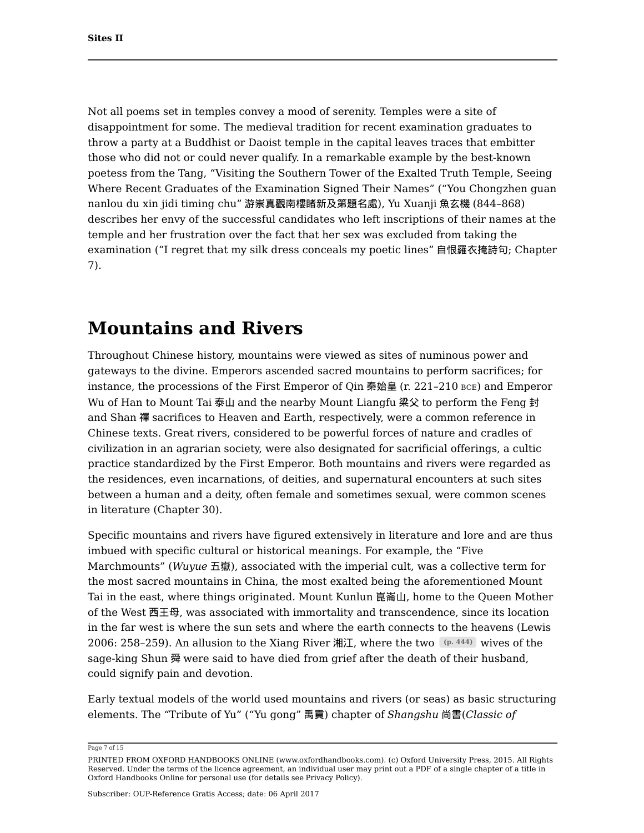Not all poems set in temples convey a mood of serenity. Temples were a site of disappointment for some. The medieval tradition for recent examination graduates to throw a party at a Buddhist or Daoist temple in the capital leaves traces that embitter those who did not or could never qualify. In a remarkable example by the best-known poetess from the Tang, "Visiting the Southern Tower of the Exalted Truth Temple, Seeing Where Recent Graduates of the Examination Signed Their Names" ("You Chongzhen guan nanlou du xin jidi timing chu" 游崇真觀南樓睹新及第題名處), Yu Xuanji 魚玄機 (844–868) describes her envy of the successful candidates who left inscriptions of their names at the temple and her frustration over the fact that her sex was excluded from taking the examination ("I regret that my silk dress conceals my poetic lines" 自恨羅衣掩詩句; Chapter 7).

## Mountains and Rivers

Throughout Chinese history, mountains were viewed as sites of numinous power and gateways to the divine. Emperors ascended sacred mountains to perform sacrifices; for instance, the processions of the First Emperor of Qin 秦始皇 (r. 221–210 BCE) and Emperor Wu of Han to Mount Tai 泰山 and the nearby Mount Liangfu 梁父 to perform the Feng 封 and Shan 禪 sacrifices to Heaven and Earth, respectively, were a common reference in Chinese texts. Great rivers, considered to be powerful forces of nature and cradles of civilization in an agrarian society, were also designated for sacrificial offerings, a cultic practice standardized by the First Emperor. Both mountains and rivers were regarded as the residences, even incarnations, of deities, and supernatural encounters at such sites between a human and a deity, often female and sometimes sexual, were common scenes in literature (Chapter 30).

Specific mountains and rivers have figured extensively in literature and lore and are thus imbued with specific cultural or historical meanings. For example, the "Five Marchmounts" (Wuyue 五嶽), associated with the imperial cult, was a collective term for the most sacred mountains in China, the most exalted being the aforementioned Mount Tai in the east, where things originated. Mount Kunlun 崑崙山, home to the Queen Mother of the West 西王母, was associated with immortality and transcendence, since its location in the far west is where the sun sets and where the earth connects to the heavens (Lewis 2006: 258-259). An allusion to the Xiang River 湘江, where the two  $\left(p.444\right)$  wives of the sage-king Shun 舜 were said to have died from grief after the death of their husband, could signify pain and devotion.

Early textual models of the world used mountains and rivers (or seas) as basic structuring elements. The "Tribute of Yu" ("Yu gong" 禹貢) chapter of Shangshu 尚書(Classic of

Page 7 of 15

PRINTED FROM OXFORD HANDBOOKS ONLINE (www.oxfordhandbooks.com). (c) Oxford University Press, 2015. All Rights Reserved. Under the terms of the licence agreement, an individual user may print out a PDF of a single chapter of a title in Oxford Handbooks Online for personal use (for details see Privacy Policy).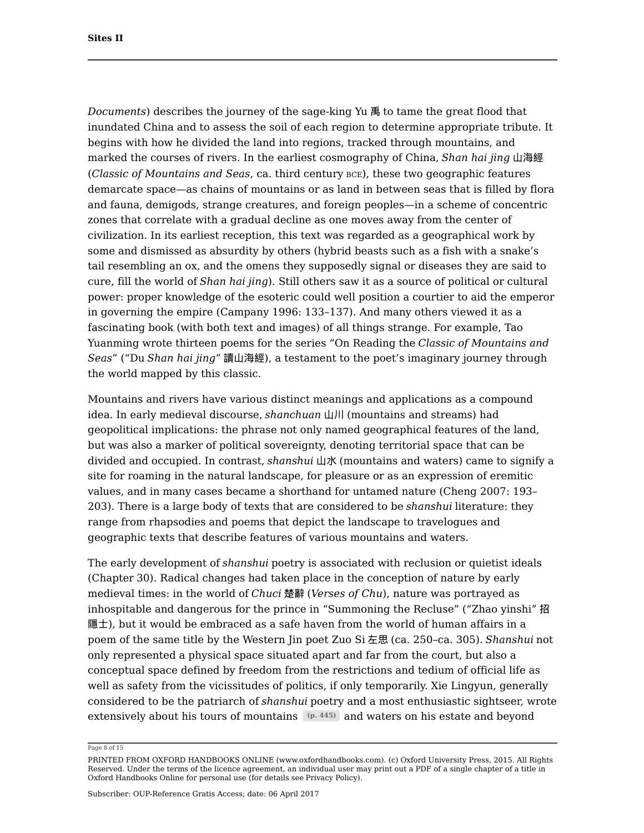Documents) describes the journey of the sage-king Yu 禹 to tame the great flood that inundated China and to assess the soil of each region to determine appropriate tribute. It begins with how he divided the land into regions, tracked through mountains, and marked the courses of rivers. In the earliest cosmography of China, Shan hai jing 山海經 (Classic of Mountains and Seas, ca. third century BCE), these two geographic features demarcate space—as chains of mountains or as land in between seas that is filled by flora and fauna, demigods, strange creatures, and foreign peoples—in a scheme of concentric zones that correlate with a gradual decline as one moves away from the center of civilization. In its earliest reception, this text was regarded as a geographical work by some and dismissed as absurdity by others (hybrid beasts such as a fish with a snake's tail resembling an ox, and the omens they supposedly signal or diseases they are said to cure, fill the world of Shan hai jing). Still others saw it as a source of political or cultural power: proper knowledge of the esoteric could well position a courtier to aid the emperor in governing the empire (Campany 1996: 133–137). And many others viewed it as a fascinating book (with both text and images) of all things strange. For example, Tao Yuanming wrote thirteen poems for the series "On Reading the Classic of Mountains and Seas" ("Du Shan hai jing" 讀山海經), a testament to the poet's imaginary journey through the world mapped by this classic.

Mountains and rivers have various distinct meanings and applications as a compound idea. In early medieval discourse, shanchuan 山川 (mountains and streams) had geopolitical implications: the phrase not only named geographical features of the land, but was also a marker of political sovereignty, denoting territorial space that can be divided and occupied. In contrast, shanshui 山水 (mountains and waters) came to signify a site for roaming in the natural landscape, for pleasure or as an expression of eremitic values, and in many cases became a shorthand for untamed nature (Cheng 2007: 193– 203). There is a large body of texts that are considered to be shanshui literature: they range from rhapsodies and poems that depict the landscape to travelogues and geographic texts that describe features of various mountains and waters.

The early development of shanshui poetry is associated with reclusion or quietist ideals (Chapter 30). Radical changes had taken place in the conception of nature by early medieval times: in the world of *Chuci* 楚辭 (*Verses of Chu*), nature was portrayed as inhospitable and dangerous for the prince in "Summoning the Recluse" ("Zhao yinshi" 招 隱士), but it would be embraced as a safe haven from the world of human affairs in a poem of the same title by the Western Jin poet Zuo Si 左思 (ca. 250–ca. 305). Shanshui not only represented a physical space situated apart and far from the court, but also a conceptual space defined by freedom from the restrictions and tedium of official life as well as safety from the vicissitudes of politics, if only temporarily. Xie Lingyun, generally considered to be the patriarch of shanshui poetry and a most enthusiastic sightseer, wrote extensively about his tours of mountains (p. 445) and waters on his estate and beyond

#### Page 8 of 15

PRINTED FROM OXFORD HANDBOOKS ONLINE (www.oxfordhandbooks.com). (c) Oxford University Press, 2015. All Rights Reserved. Under the terms of the licence agreement, an individual user may print out a PDF of a single chapter of a title in Oxford Handbooks Online for personal use (for details see Privacy Policy).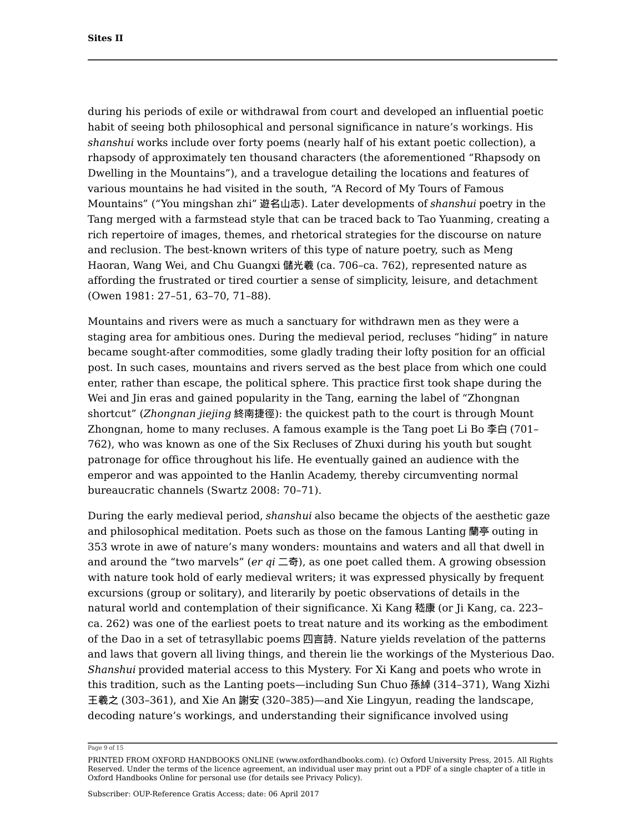during his periods of exile or withdrawal from court and developed an influential poetic habit of seeing both philosophical and personal significance in nature's workings. His shanshui works include over forty poems (nearly half of his extant poetic collection), a rhapsody of approximately ten thousand characters (the aforementioned "Rhapsody on Dwelling in the Mountains"), and a travelogue detailing the locations and features of various mountains he had visited in the south, "A Record of My Tours of Famous Mountains" ("You mingshan zhi" 遊名山志). Later developments of shanshui poetry in the Tang merged with a farmstead style that can be traced back to Tao Yuanming, creating a rich repertoire of images, themes, and rhetorical strategies for the discourse on nature and reclusion. The best-known writers of this type of nature poetry, such as Meng Haoran, Wang Wei, and Chu Guangxi 儲光羲 (ca. 706–ca. 762), represented nature as affording the frustrated or tired courtier a sense of simplicity, leisure, and detachment (Owen 1981: 27–51, 63–70, 71–88).

Mountains and rivers were as much a sanctuary for withdrawn men as they were a staging area for ambitious ones. During the medieval period, recluses "hiding" in nature became sought-after commodities, some gladly trading their lofty position for an official post. In such cases, mountains and rivers served as the best place from which one could enter, rather than escape, the political sphere. This practice first took shape during the Wei and Jin eras and gained popularity in the Tang, earning the label of "Zhongnan shortcut" (Zhongnan jiejing 終南捷徑): the quickest path to the court is through Mount Zhongnan, home to many recluses. A famous example is the Tang poet Li Bo 李白 (701– 762), who was known as one of the Six Recluses of Zhuxi during his youth but sought patronage for office throughout his life. He eventually gained an audience with the emperor and was appointed to the Hanlin Academy, thereby circumventing normal bureaucratic channels (Swartz 2008: 70–71).

During the early medieval period, shanshui also became the objects of the aesthetic gaze and philosophical meditation. Poets such as those on the famous Lanting 蘭亭 outing in 353 wrote in awe of nature's many wonders: mountains and waters and all that dwell in and around the "two marvels" (er  $qi \equiv \frac{2}{3}$ ), as one poet called them. A growing obsession with nature took hold of early medieval writers; it was expressed physically by frequent excursions (group or solitary), and literarily by poetic observations of details in the natural world and contemplation of their significance. Xi Kang 嵇康 (or Ji Kang, ca. 223– ca. 262) was one of the earliest poets to treat nature and its working as the embodiment of the Dao in a set of tetrasyllabic poems 四言詩. Nature yields revelation of the patterns and laws that govern all living things, and therein lie the workings of the Mysterious Dao. Shanshui provided material access to this Mystery. For Xi Kang and poets who wrote in this tradition, such as the Lanting poets—including Sun Chuo 孫綽 (314–371), Wang Xizhi 王羲之 (303–361), and Xie An 謝安 (320–385)—and Xie Lingyun, reading the landscape, decoding nature's workings, and understanding their significance involved using

Page 9 of 15

PRINTED FROM OXFORD HANDBOOKS ONLINE (www.oxfordhandbooks.com). (c) Oxford University Press, 2015. All Rights Reserved. Under the terms of the licence agreement, an individual user may print out a PDF of a single chapter of a title in Oxford Handbooks Online for personal use (for details see Privacy Policy).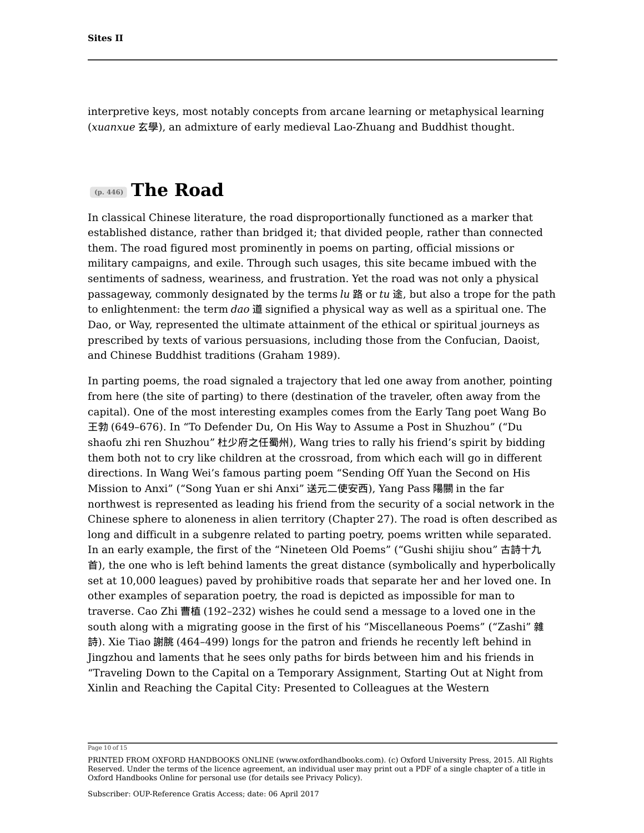interpretive keys, most notably concepts from arcane learning or metaphysical learning (xuanxue 玄學), an admixture of early medieval Lao-Zhuang and Buddhist thought.

#### The Road (p. 446)

In classical Chinese literature, the road disproportionally functioned as a marker that established distance, rather than bridged it; that divided people, rather than connected them. The road figured most prominently in poems on parting, official missions or military campaigns, and exile. Through such usages, this site became imbued with the sentiments of sadness, weariness, and frustration. Yet the road was not only a physical passageway, commonly designated by the terms  $lu$  路 or  $tu$  途, but also a trope for the path to enlightenment: the term *dao* 道 signified a physical way as well as a spiritual one. The Dao, or Way, represented the ultimate attainment of the ethical or spiritual journeys as prescribed by texts of various persuasions, including those from the Confucian, Daoist, and Chinese Buddhist traditions (Graham 1989).

In parting poems, the road signaled a trajectory that led one away from another, pointing from here (the site of parting) to there (destination of the traveler, often away from the capital). One of the most interesting examples comes from the Early Tang poet Wang Bo 王勃 (649–676). In "To Defender Du, On His Way to Assume a Post in Shuzhou" ("Du shaofu zhi ren Shuzhou" 杜少府之任蜀州), Wang tries to rally his friend's spirit by bidding them both not to cry like children at the crossroad, from which each will go in different directions. In Wang Wei's famous parting poem "Sending Off Yuan the Second on His Mission to Anxi" ("Song Yuan er shi Anxi" 送元二使安西), Yang Pass 陽關 in the far northwest is represented as leading his friend from the security of a social network in the Chinese sphere to aloneness in alien territory (Chapter 27). The road is often described as long and difficult in a subgenre related to parting poetry, poems written while separated. In an early example, the first of the "Nineteen Old Poems" ("Gushi shijiu shou" 古詩十九 首), the one who is left behind laments the great distance (symbolically and hyperbolically set at 10,000 leagues) paved by prohibitive roads that separate her and her loved one. In other examples of separation poetry, the road is depicted as impossible for man to traverse. Cao Zhi 曹植 (192–232) wishes he could send a message to a loved one in the south along with a migrating goose in the first of his "Miscellaneous Poems" ("Zashi" 雜 詩). Xie Tiao 謝朓 (464–499) longs for the patron and friends he recently left behind in Jingzhou and laments that he sees only paths for birds between him and his friends in "Traveling Down to the Capital on a Temporary Assignment, Starting Out at Night from Xinlin and Reaching the Capital City: Presented to Colleagues at the Western

Page 10 of 15

PRINTED FROM OXFORD HANDBOOKS ONLINE (www.oxfordhandbooks.com). (c) Oxford University Press, 2015. All Rights Reserved. Under the terms of the licence agreement, an individual user may print out a PDF of a single chapter of a title in Oxford Handbooks Online for personal use (for details see Privacy Policy).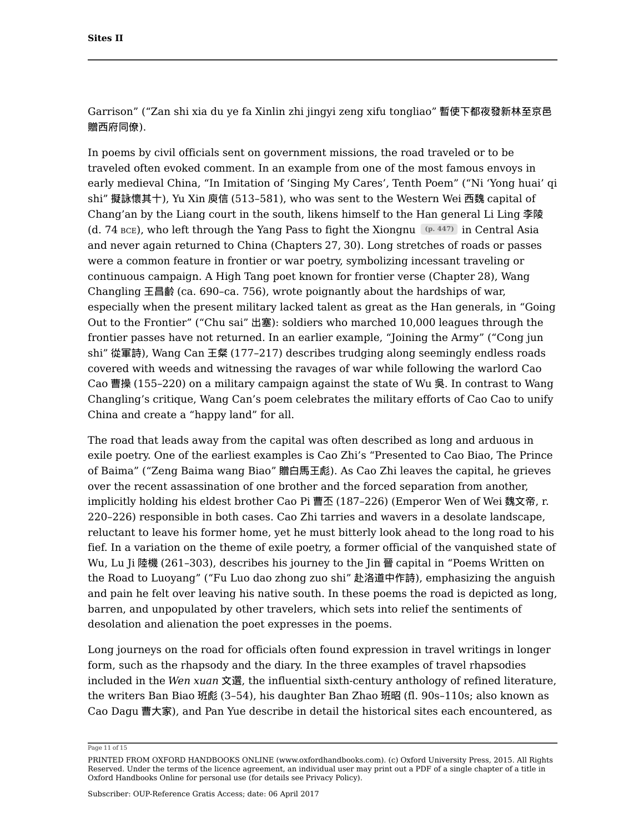Garrison" ("Zan shi xia du ye fa Xinlin zhi jingyi zeng xifu tongliao" 暫使下都夜發新林至京邑 贈西府同僚).

In poems by civil officials sent on government missions, the road traveled or to be traveled often evoked comment. In an example from one of the most famous envoys in early medieval China, "In Imitation of 'Singing My Cares', Tenth Poem" ("Ni 'Yong huai' qi shi" 擬詠懷其十), Yu Xin 庾信 (513–581), who was sent to the Western Wei 西魏 capital of Chang'an by the Liang court in the south, likens himself to the Han general Li Ling 李陵 (d. 74  $BCE$ ), who left through the Yang Pass to fight the Xiongnu (p. 447) in Central Asia and never again returned to China (Chapters 27, 30). Long stretches of roads or passes were a common feature in frontier or war poetry, symbolizing incessant traveling or continuous campaign. A High Tang poet known for frontier verse (Chapter 28), Wang Changling 王昌齡 (ca. 690–ca. 756), wrote poignantly about the hardships of war, especially when the present military lacked talent as great as the Han generals, in "Going Out to the Frontier" ("Chu sai" 出塞): soldiers who marched 10,000 leagues through the frontier passes have not returned. In an earlier example, "Joining the Army" ("Cong jun shi" 從軍詩), Wang Can 王粲 (177–217) describes trudging along seemingly endless roads covered with weeds and witnessing the ravages of war while following the warlord Cao Cao 曹操 (155–220) on a military campaign against the state of Wu 吳. In contrast to Wang Changling's critique, Wang Can's poem celebrates the military efforts of Cao Cao to unify China and create a "happy land" for all.

The road that leads away from the capital was often described as long and arduous in exile poetry. One of the earliest examples is Cao Zhi's "Presented to Cao Biao, The Prince of Baima" ("Zeng Baima wang Biao" 贈白馬王彪). As Cao Zhi leaves the capital, he grieves over the recent assassination of one brother and the forced separation from another, implicitly holding his eldest brother Cao Pi 曹丕 (187–226) (Emperor Wen of Wei 魏文帝, r. 220–226) responsible in both cases. Cao Zhi tarries and wavers in a desolate landscape, reluctant to leave his former home, yet he must bitterly look ahead to the long road to his fief. In a variation on the theme of exile poetry, a former official of the vanquished state of Wu, Lu Ji 陸機 (261–303), describes his journey to the Jin 晉 capital in "Poems Written on the Road to Luoyang" ("Fu Luo dao zhong zuo shi" 赴洛道中作詩), emphasizing the anguish and pain he felt over leaving his native south. In these poems the road is depicted as long, barren, and unpopulated by other travelers, which sets into relief the sentiments of desolation and alienation the poet expresses in the poems.

Long journeys on the road for officials often found expression in travel writings in longer form, such as the rhapsody and the diary. In the three examples of travel rhapsodies included in the Wen xuan 文選, the influential sixth-century anthology of refined literature, the writers Ban Biao 班彪 (3–54), his daughter Ban Zhao 班昭 (fl. 90s–110s; also known as Cao Dagu 曹大家), and Pan Yue describe in detail the historical sites each encountered, as

Page 11 of 15

PRINTED FROM OXFORD HANDBOOKS ONLINE (www.oxfordhandbooks.com). (c) Oxford University Press, 2015. All Rights Reserved. Under the terms of the licence agreement, an individual user may print out a PDF of a single chapter of a title in Oxford Handbooks Online for personal use (for details see Privacy Policy).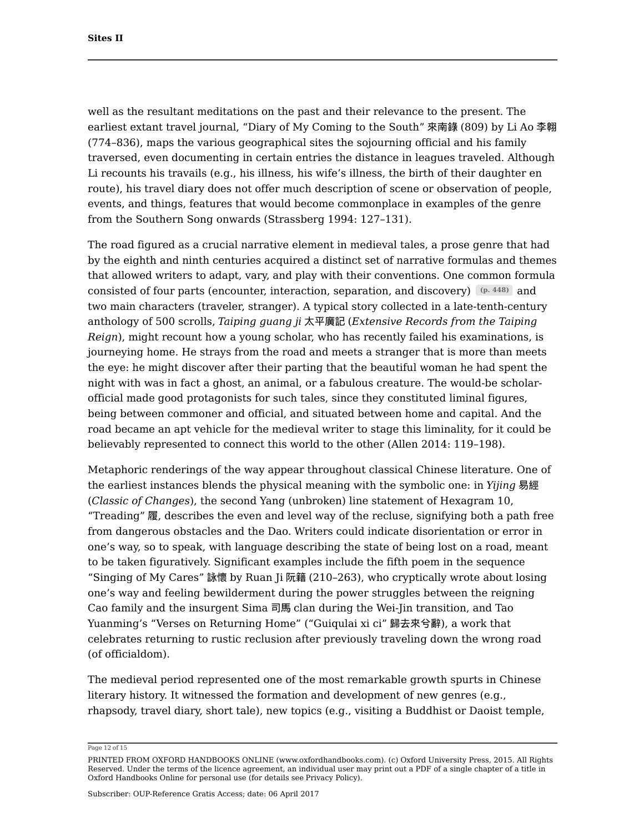well as the resultant meditations on the past and their relevance to the present. The earliest extant travel journal, "Diary of My Coming to the South" 來南錄 (809) by Li Ao 李翱 (774–836), maps the various geographical sites the sojourning official and his family traversed, even documenting in certain entries the distance in leagues traveled. Although Li recounts his travails (e.g., his illness, his wife's illness, the birth of their daughter en route), his travel diary does not offer much description of scene or observation of people, events, and things, features that would become commonplace in examples of the genre from the Southern Song onwards (Strassberg 1994: 127–131).

The road figured as a crucial narrative element in medieval tales, a prose genre that had by the eighth and ninth centuries acquired a distinct set of narrative formulas and themes that allowed writers to adapt, vary, and play with their conventions. One common formula consisted of four parts (encounter, interaction, separation, and discovery)  $(p. 448)$  and two main characters (traveler, stranger). A typical story collected in a late-tenth-century anthology of 500 scrolls, Taiping guang ji 太平廣記 (Extensive Records from the Taiping Reign), might recount how a young scholar, who has recently failed his examinations, is journeying home. He strays from the road and meets a stranger that is more than meets the eye: he might discover after their parting that the beautiful woman he had spent the night with was in fact a ghost, an animal, or a fabulous creature. The would-be scholarofficial made good protagonists for such tales, since they constituted liminal figures, being between commoner and official, and situated between home and capital. And the road became an apt vehicle for the medieval writer to stage this liminality, for it could be believably represented to connect this world to the other (Allen 2014: 119–198).

Metaphoric renderings of the way appear throughout classical Chinese literature. One of the earliest instances blends the physical meaning with the symbolic one: in Yijing 易經 (Classic of Changes), the second Yang (unbroken) line statement of Hexagram 10, "Treading" 履, describes the even and level way of the recluse, signifying both a path free from dangerous obstacles and the Dao. Writers could indicate disorientation or error in one's way, so to speak, with language describing the state of being lost on a road, meant to be taken figuratively. Significant examples include the fifth poem in the sequence "Singing of My Cares" 詠懷 by Ruan Ji 阮籍 (210–263), who cryptically wrote about losing one's way and feeling bewilderment during the power struggles between the reigning Cao family and the insurgent Sima 司馬 clan during the Wei-Jin transition, and Tao Yuanming's "Verses on Returning Home" ("Guiqulai xi ci" 歸去來兮辭), a work that celebrates returning to rustic reclusion after previously traveling down the wrong road (of officialdom).

The medieval period represented one of the most remarkable growth spurts in Chinese literary history. It witnessed the formation and development of new genres (e.g., rhapsody, travel diary, short tale), new topics (e.g., visiting a Buddhist or Daoist temple,

Page 12 of 15

PRINTED FROM OXFORD HANDBOOKS ONLINE (www.oxfordhandbooks.com). (c) Oxford University Press, 2015. All Rights Reserved. Under the terms of the licence agreement, an individual user may print out a PDF of a single chapter of a title in Oxford Handbooks Online for personal use (for details see Privacy Policy).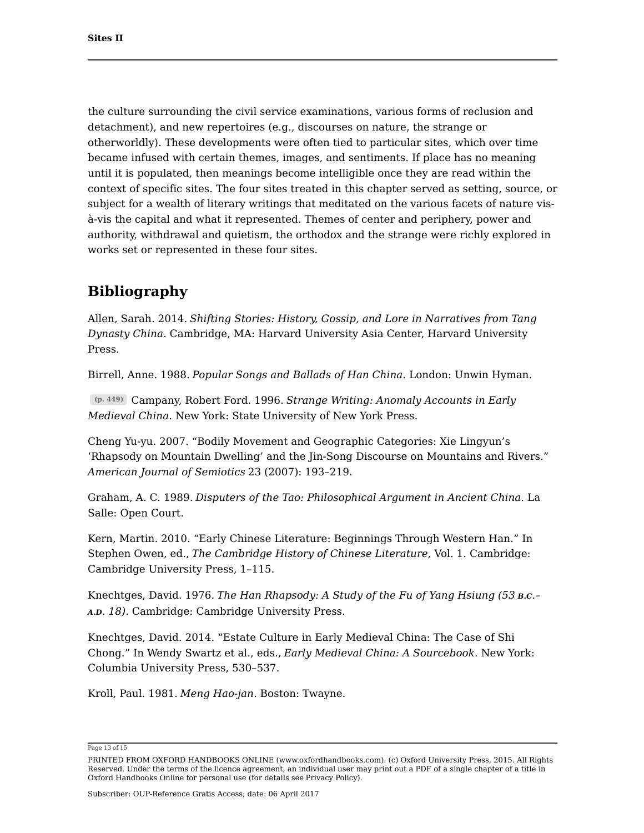the culture surrounding the civil service examinations, various forms of reclusion and detachment), and new repertoires (e.g., discourses on nature, the strange or otherworldly). These developments were often tied to particular sites, which over time became infused with certain themes, images, and sentiments. If place has no meaning until it is populated, then meanings become intelligible once they are read within the context of specific sites. The four sites treated in this chapter served as setting, source, or subject for a wealth of literary writings that meditated on the various facets of nature visà-vis the capital and what it represented. Themes of center and periphery, power and authority, withdrawal and quietism, the orthodox and the strange were richly explored in works set or represented in these four sites.

### Bibliography

Allen, Sarah. 2014. Shifting Stories: History, Gossip, and Lore in Narratives from Tang Dynasty China. Cambridge, MA: Harvard University Asia Center, Harvard University Press.

Birrell, Anne. 1988. Popular Songs and Ballads of Han China. London: Unwin Hyman.

Campany, Robert Ford. 1996. Strange Writing: Anomaly Accounts in Early (p. 449) Medieval China. New York: State University of New York Press.

Cheng Yu-yu. 2007. "Bodily Movement and Geographic Categories: Xie Lingyun's 'Rhapsody on Mountain Dwelling' and the Jin-Song Discourse on Mountains and Rivers." American Journal of Semiotics 23 (2007): 193–219.

Graham, A. C. 1989. Disputers of the Tao: Philosophical Argument in Ancient China. La Salle: Open Court.

Kern, Martin. 2010. "Early Chinese Literature: Beginnings Through Western Han." In Stephen Owen, ed., The Cambridge History of Chinese Literature, Vol. 1. Cambridge: Cambridge University Press, 1–115.

Knechtges, David. 1976. The Han Rhapsody: A Study of the Fu of Yang Hsiung (53 B.C.-A.D. 18). Cambridge: Cambridge University Press.

Knechtges, David. 2014. "Estate Culture in Early Medieval China: The Case of Shi Chong." In Wendy Swartz et al., eds., Early Medieval China: A Sourcebook. New York: Columbia University Press, 530–537.

Kroll, Paul. 1981. Meng Hao-jan. Boston: Twayne.

Page 13 of 15

PRINTED FROM OXFORD HANDBOOKS ONLINE (www.oxfordhandbooks.com). (c) Oxford University Press, 2015. All Rights Reserved. Under the terms of the licence agreement, an individual user may print out a PDF of a single chapter of a title in Oxford Handbooks Online for personal use (for details see Privacy Policy).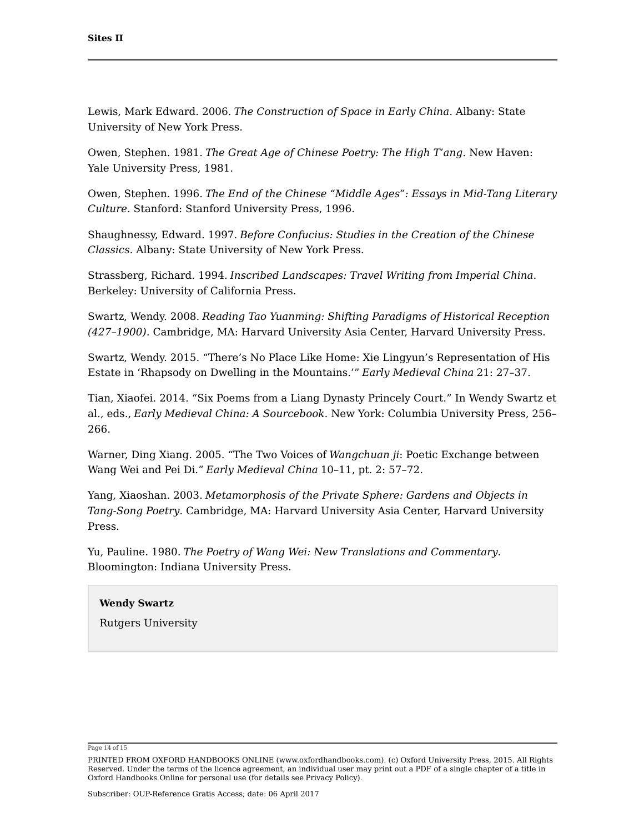Lewis, Mark Edward. 2006. The Construction of Space in Early China. Albany: State University of New York Press.

Owen, Stephen. 1981. The Great Age of Chinese Poetry: The High T'ang. New Haven: Yale University Press, 1981.

Owen, Stephen. 1996. The End of the Chinese "Middle Ages": Essays in Mid-Tang Literary Culture. Stanford: Stanford University Press, 1996.

Shaughnessy, Edward. 1997. Before Confucius: Studies in the Creation of the Chinese Classics. Albany: State University of New York Press.

Strassberg, Richard. 1994. Inscribed Landscapes: Travel Writing from Imperial China. Berkeley: University of California Press.

Swartz, Wendy. 2008. Reading Tao Yuanming: Shifting Paradigms of Historical Reception (427–1900). Cambridge, MA: Harvard University Asia Center, Harvard University Press.

Swartz, Wendy. 2015. "There's No Place Like Home: Xie Lingyun's Representation of His Estate in 'Rhapsody on Dwelling in the Mountains.'" Early Medieval China 21: 27–37.

Tian, Xiaofei. 2014. "Six Poems from a Liang Dynasty Princely Court." In Wendy Swartz et al., eds., Early Medieval China: A Sourcebook. New York: Columbia University Press, 256– 266.

Warner, Ding Xiang. 2005. "The Two Voices of Wangchuan ji: Poetic Exchange between Wang Wei and Pei Di." Early Medieval China 10–11, pt. 2: 57–72.

Yang, Xiaoshan. 2003. Metamorphosis of the Private Sphere: Gardens and Objects in Tang-Song Poetry. Cambridge, MA: Harvard University Asia Center, Harvard University Press.

Yu, Pauline. 1980. The Poetry of Wang Wei: New Translations and Commentary. Bloomington: Indiana University Press.

Wendy Swartz Rutgers University

Page 14 of 15

PRINTED FROM OXFORD HANDBOOKS ONLINE (www.oxfordhandbooks.com). (c) Oxford University Press, 2015. All Rights Reserved. Under the terms of the licence agreement, an individual user may print out a PDF of a single chapter of a title in Oxford Handbooks Online for personal use (for details see Privacy Policy).